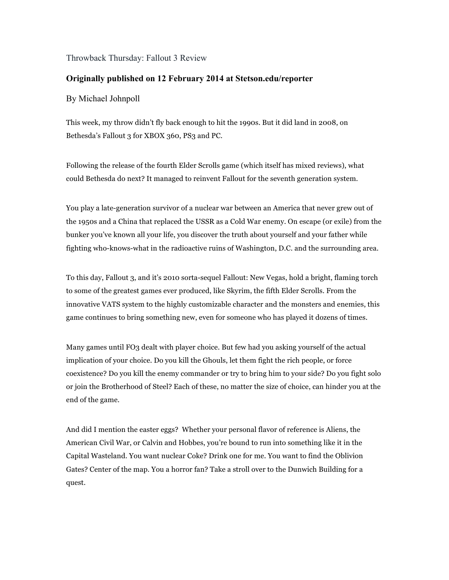Throwback Thursday: Fallout 3 Review

## **Originally published on 12 February 2014 at Stetson.edu/reporter**

## By Michael Johnpoll

This week, my throw didn't fly back enough to hit the 1990s. But it did land in 2008, on Bethesda's Fallout 3 for XBOX 360, PS3 and PC.

Following the release of the fourth Elder Scrolls game (which itself has mixed reviews), what could Bethesda do next? It managed to reinvent Fallout for the seventh generation system.

You play a late-generation survivor of a nuclear war between an America that never grew out of the 1950s and a China that replaced the USSR as a Cold War enemy. On escape (or exile) from the bunker you've known all your life, you discover the truth about yourself and your father while fighting who-knows-what in the radioactive ruins of Washington, D.C. and the surrounding area.

To this day, Fallout 3, and it's 2010 sorta-sequel Fallout: New Vegas, hold a bright, flaming torch to some of the greatest games ever produced, like Skyrim, the fifth Elder Scrolls. From the innovative VATS system to the highly customizable character and the monsters and enemies, this game continues to bring something new, even for someone who has played it dozens of times.

Many games until FO3 dealt with player choice. But few had you asking yourself of the actual implication of your choice. Do you kill the Ghouls, let them fight the rich people, or force coexistence? Do you kill the enemy commander or try to bring him to your side? Do you fight solo or join the Brotherhood of Steel? Each of these, no matter the size of choice, can hinder you at the end of the game.

And did I mention the easter eggs? Whether your personal flavor of reference is Aliens, the American Civil War, or Calvin and Hobbes, you're bound to run into something like it in the Capital Wasteland. You want nuclear Coke? Drink one for me. You want to find the Oblivion Gates? Center of the map. You a horror fan? Take a stroll over to the Dunwich Building for a quest.